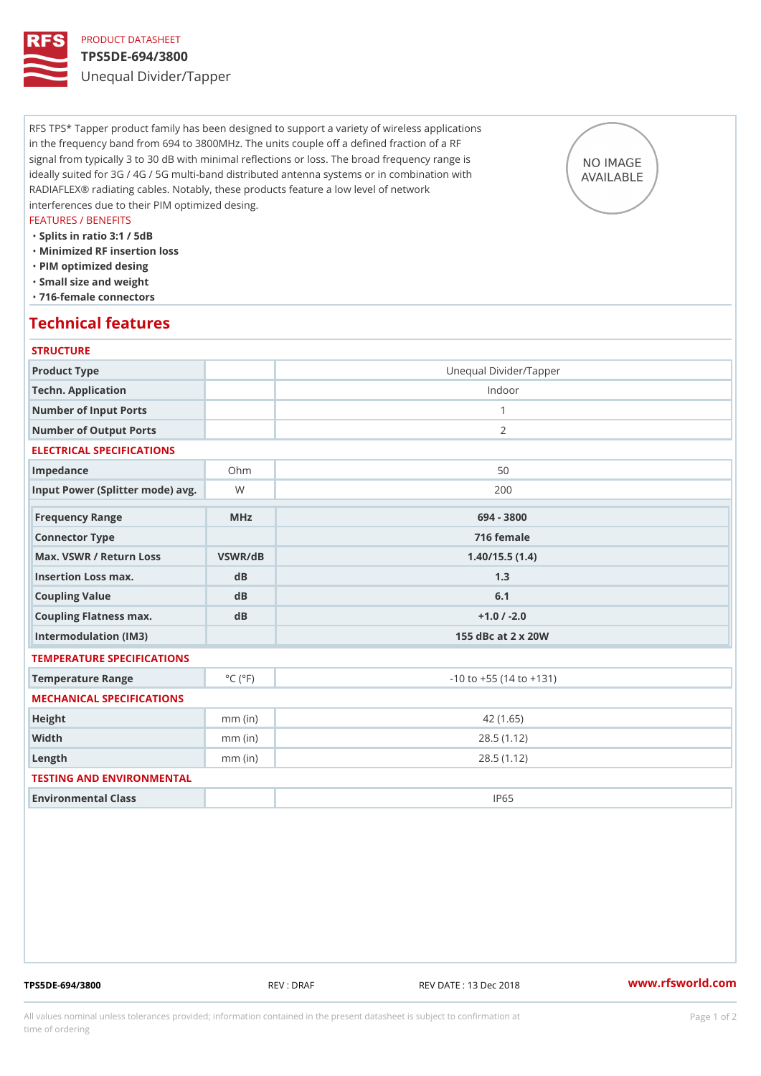# PRODUCT DATASHEET

## TPS5DE-694/3800

Unequal Divider/Tapper

RFS TPS\* Tapper product family has been designed to support a variety of wireless applications in the frequency band from 694 to 3800MHz. The units couple off a defined fraction of a RF signal from typically 3 to 30 dB with minimal reflections or loss. The broad frequency range is ideally suited for 3G / 4G / 5G multi-band distributed antenna systems or in combination with RADIAFLEX® radiating cables. Notably, these products feature a low level of network interferences due to their PIM optimized desing.

#### FEATURES / BENEFITS

- "Splits in ratio 3:1 / 5dB
- "Minimized RF insertion loss
- "PIM optimized desing
- "Small size and weight
- "716-female connectors

## Technical features

### **STRUCTURE**

| Product Type                      |                             | Unequal Divider/Tapper         |
|-----------------------------------|-----------------------------|--------------------------------|
| Techn. Application                |                             | Indoor                         |
| Number of Input Ports             |                             | $\mathbf{1}$                   |
| Number of Output Ports            |                             | 2                              |
| ELECTRICAL SPECIFICATIONS         |                             |                                |
| Impedance                         | $Oh$ m                      | 50                             |
| Input Power (Splitter mode) Wavg. |                             | 200                            |
| Frequency Range                   | MHz                         | 694 - 3800                     |
| Connector Type                    |                             | 716 female                     |
| Max. VSWR / Return LossVSWR/dB    |                             | 1.40/15.5(1.4)                 |
| Insertion Loss max.               | dB                          | 1.3                            |
| Coupling Value                    | dB                          | 6.1                            |
| Coupling Flatness max.            | dB                          | $+1.0$ / -2.0                  |
| Intermodulation (IM3)             |                             | 155 dBc at 2 x 20W             |
| TEMPERATURE SPECIFICATIONS        |                             |                                |
| Temperature Range                 | $^{\circ}$ C ( $^{\circ}$ F | $-10$ to $+55$ (14 to $+131$ ) |
| MECHANICAL SPECIFICATIONS         |                             |                                |
| Height                            | $mm$ (in)                   | 42(1.65)                       |
| Width                             | $mm$ (in)                   | 28.5(1.12)                     |
| $L$ ength                         | $mm$ (in)                   | 28.5(1.12)                     |
| TESTING AND ENVIRONMENTAL         |                             |                                |
| Environmental Class               |                             | IP65                           |

TPS5DE-694/3800 REV : DRAF REV DATE : 13 Dec 2018 [www.](https://www.rfsworld.com)rfsworld.com

All values nominal unless tolerances provided; information contained in the present datasheet is subject to Pcapgeign manation time of ordering